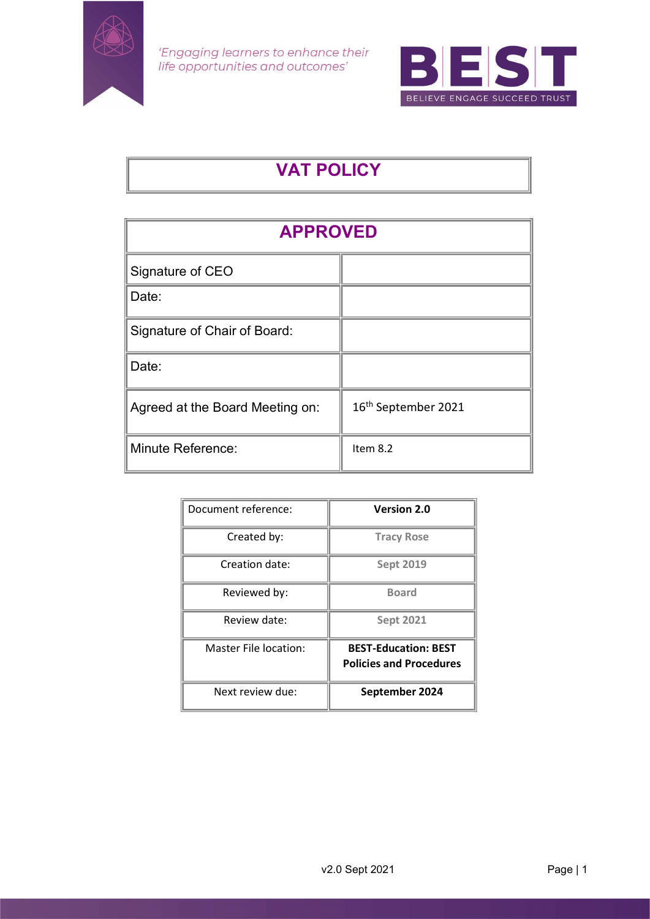

'Engaging learners to enhance their<br>life opportunities and outcomes'



# VAT POLICY

| <b>APPROVED</b>                 |                                 |  |
|---------------------------------|---------------------------------|--|
| Signature of CEO                |                                 |  |
| Date:                           |                                 |  |
| Signature of Chair of Board:    |                                 |  |
| Date:                           |                                 |  |
| Agreed at the Board Meeting on: | 16 <sup>th</sup> September 2021 |  |
| <b>Minute Reference:</b>        | Item 8.2                        |  |

| Document reference:   | <b>Version 2.0</b>             |
|-----------------------|--------------------------------|
| Created by:           | <b>Tracy Rose</b>              |
| Creation date:        | <b>Sept 2019</b>               |
| Reviewed by:          | <b>Board</b>                   |
| Review date:          | <b>Sept 2021</b>               |
| Master File location: | <b>BEST-Education: BEST</b>    |
|                       | <b>Policies and Procedures</b> |
| Next review due:      | September 2024                 |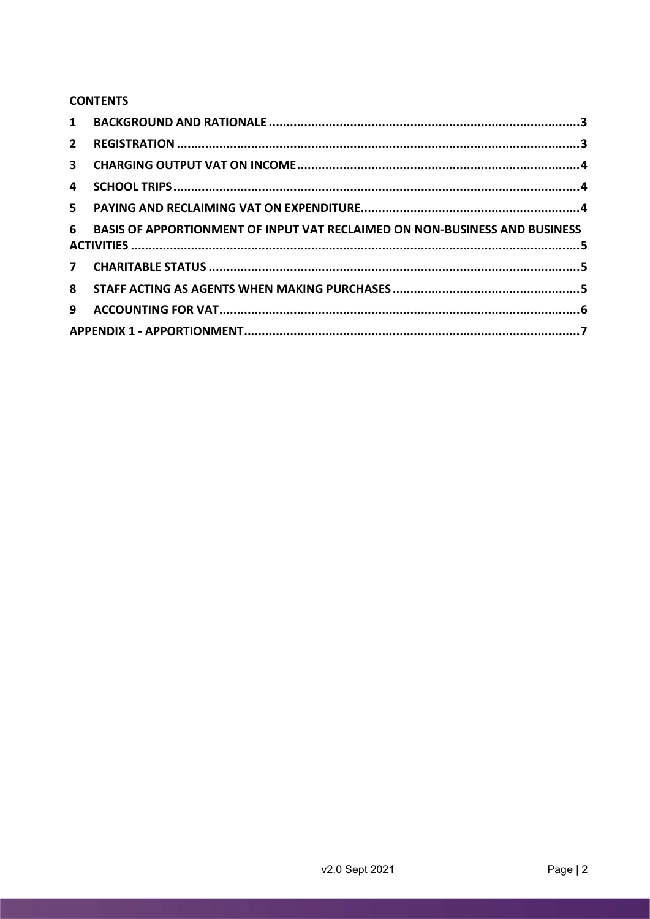## **CONTENTS**

| $1 \quad$    |                                                                                   |  |
|--------------|-----------------------------------------------------------------------------------|--|
| $2^{\circ}$  |                                                                                   |  |
| $\mathbf{3}$ |                                                                                   |  |
| 4            |                                                                                   |  |
|              |                                                                                   |  |
| 6            | <b>BASIS OF APPORTIONMENT OF INPUT VAT RECLAIMED ON NON-BUSINESS AND BUSINESS</b> |  |
|              |                                                                                   |  |
|              |                                                                                   |  |
| 9            |                                                                                   |  |
|              |                                                                                   |  |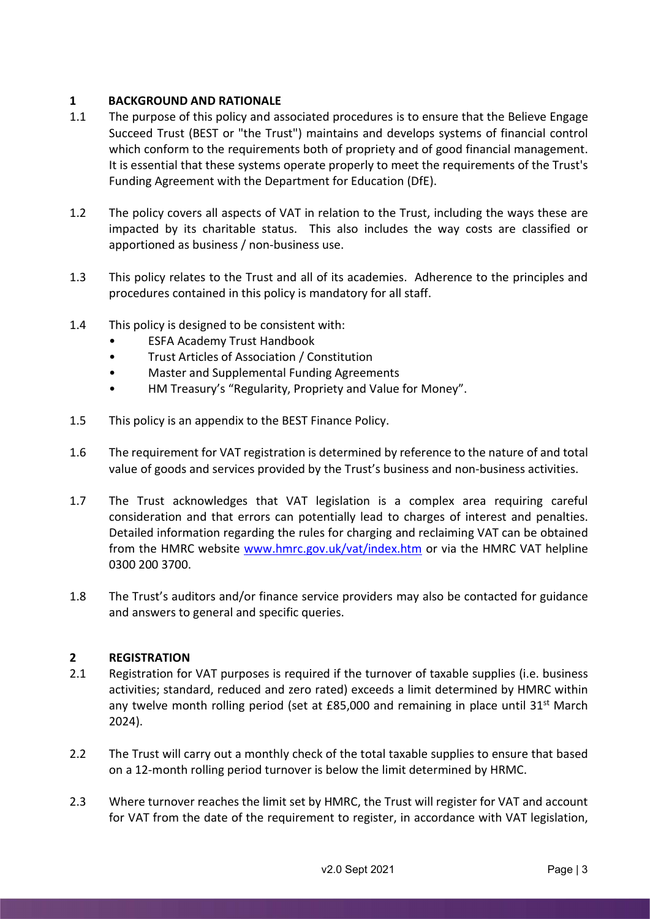# 1 BACKGROUND AND RATIONALE

- 1.1 The purpose of this policy and associated procedures is to ensure that the Believe Engage Succeed Trust (BEST or "the Trust") maintains and develops systems of financial control which conform to the requirements both of propriety and of good financial management. It is essential that these systems operate properly to meet the requirements of the Trust's Funding Agreement with the Department for Education (DfE).
- 1.2 The policy covers all aspects of VAT in relation to the Trust, including the ways these are impacted by its charitable status. This also includes the way costs are classified or apportioned as business / non-business use.
- 1.3 This policy relates to the Trust and all of its academies. Adherence to the principles and procedures contained in this policy is mandatory for all staff.
- 1.4 This policy is designed to be consistent with:
	- ESFA Academy Trust Handbook
	- Trust Articles of Association / Constitution
	- Master and Supplemental Funding Agreements
	- HM Treasury's "Regularity, Propriety and Value for Money".
- 1.5 This policy is an appendix to the BEST Finance Policy.
- 1.6 The requirement for VAT registration is determined by reference to the nature of and total value of goods and services provided by the Trust's business and non-business activities.
- 1.7 The Trust acknowledges that VAT legislation is a complex area requiring careful consideration and that errors can potentially lead to charges of interest and penalties. Detailed information regarding the rules for charging and reclaiming VAT can be obtained from the HMRC website www.hmrc.gov.uk/vat/index.htm or via the HMRC VAT helpline 0300 200 3700.
- 1.8 The Trust's auditors and/or finance service providers may also be contacted for guidance and answers to general and specific queries.

# 2 REGISTRATION

- 2.1 Registration for VAT purposes is required if the turnover of taxable supplies (i.e. business activities; standard, reduced and zero rated) exceeds a limit determined by HMRC within any twelve month rolling period (set at  $E$ 85,000 and remaining in place until 31<sup>st</sup> March 2024).
- 2.2 The Trust will carry out a monthly check of the total taxable supplies to ensure that based on a 12-month rolling period turnover is below the limit determined by HRMC.
- 2.3 Where turnover reaches the limit set by HMRC, the Trust will register for VAT and account for VAT from the date of the requirement to register, in accordance with VAT legislation,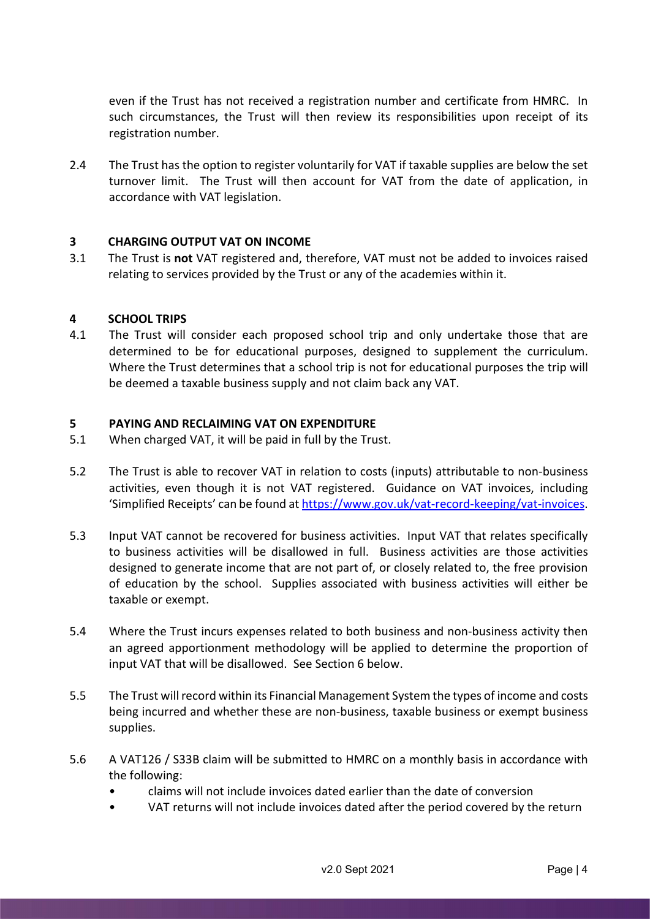even if the Trust has not received a registration number and certificate from HMRC. In such circumstances, the Trust will then review its responsibilities upon receipt of its registration number.

2.4 The Trust has the option to register voluntarily for VAT if taxable supplies are below the set turnover limit. The Trust will then account for VAT from the date of application, in accordance with VAT legislation.

# 3 CHARGING OUTPUT VAT ON INCOME

3.1 The Trust is not VAT registered and, therefore, VAT must not be added to invoices raised relating to services provided by the Trust or any of the academies within it.

#### 4 SCHOOL TRIPS

4.1 The Trust will consider each proposed school trip and only undertake those that are determined to be for educational purposes, designed to supplement the curriculum. Where the Trust determines that a school trip is not for educational purposes the trip will be deemed a taxable business supply and not claim back any VAT.

# 5 PAYING AND RECLAIMING VAT ON EXPENDITURE

- 5.1 When charged VAT, it will be paid in full by the Trust.
- 5.2 The Trust is able to recover VAT in relation to costs (inputs) attributable to non-business activities, even though it is not VAT registered. Guidance on VAT invoices, including 'Simplified Receipts' can be found at https://www.gov.uk/vat-record-keeping/vat-invoices.
- 5.3 Input VAT cannot be recovered for business activities. Input VAT that relates specifically to business activities will be disallowed in full. Business activities are those activities designed to generate income that are not part of, or closely related to, the free provision of education by the school. Supplies associated with business activities will either be taxable or exempt.
- 5.4 Where the Trust incurs expenses related to both business and non-business activity then an agreed apportionment methodology will be applied to determine the proportion of input VAT that will be disallowed. See Section 6 below.
- 5.5 The Trust will record within its Financial Management System the types of income and costs being incurred and whether these are non-business, taxable business or exempt business supplies.
- 5.6 A VAT126 / S33B claim will be submitted to HMRC on a monthly basis in accordance with the following:
	- claims will not include invoices dated earlier than the date of conversion
	- VAT returns will not include invoices dated after the period covered by the return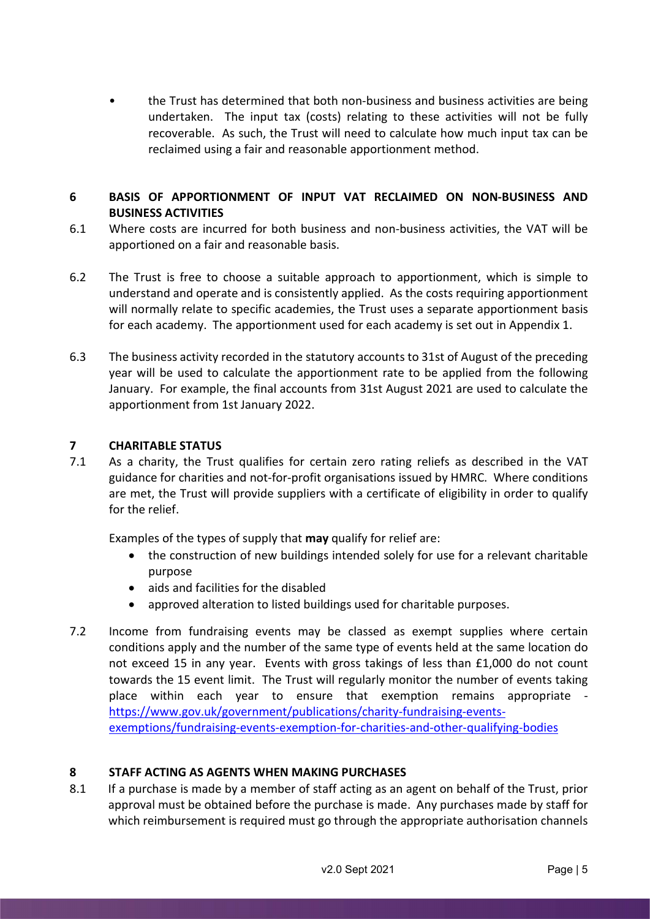the Trust has determined that both non-business and business activities are being undertaken. The input tax (costs) relating to these activities will not be fully recoverable. As such, the Trust will need to calculate how much input tax can be reclaimed using a fair and reasonable apportionment method.

# 6 BASIS OF APPORTIONMENT OF INPUT VAT RECLAIMED ON NON-BUSINESS AND BUSINESS ACTIVITIES

- 6.1 Where costs are incurred for both business and non-business activities, the VAT will be apportioned on a fair and reasonable basis.
- 6.2 The Trust is free to choose a suitable approach to apportionment, which is simple to understand and operate and is consistently applied. As the costs requiring apportionment will normally relate to specific academies, the Trust uses a separate apportionment basis for each academy. The apportionment used for each academy is set out in Appendix 1.
- 6.3 The business activity recorded in the statutory accounts to 31st of August of the preceding year will be used to calculate the apportionment rate to be applied from the following January. For example, the final accounts from 31st August 2021 are used to calculate the apportionment from 1st January 2022.

# 7 CHARITABLE STATUS

7.1 As a charity, the Trust qualifies for certain zero rating reliefs as described in the VAT guidance for charities and not-for-profit organisations issued by HMRC. Where conditions are met, the Trust will provide suppliers with a certificate of eligibility in order to qualify for the relief.

Examples of the types of supply that may qualify for relief are:

- the construction of new buildings intended solely for use for a relevant charitable purpose
- aids and facilities for the disabled
- approved alteration to listed buildings used for charitable purposes.
- 7.2 Income from fundraising events may be classed as exempt supplies where certain conditions apply and the number of the same type of events held at the same location do not exceed 15 in any year. Events with gross takings of less than £1,000 do not count towards the 15 event limit. The Trust will regularly monitor the number of events taking place within each year to ensure that exemption remains appropriate https://www.gov.uk/government/publications/charity-fundraising-eventsexemptions/fundraising-events-exemption-for-charities-and-other-qualifying-bodies

#### 8 STAFF ACTING AS AGENTS WHEN MAKING PURCHASES

8.1 If a purchase is made by a member of staff acting as an agent on behalf of the Trust, prior approval must be obtained before the purchase is made. Any purchases made by staff for which reimbursement is required must go through the appropriate authorisation channels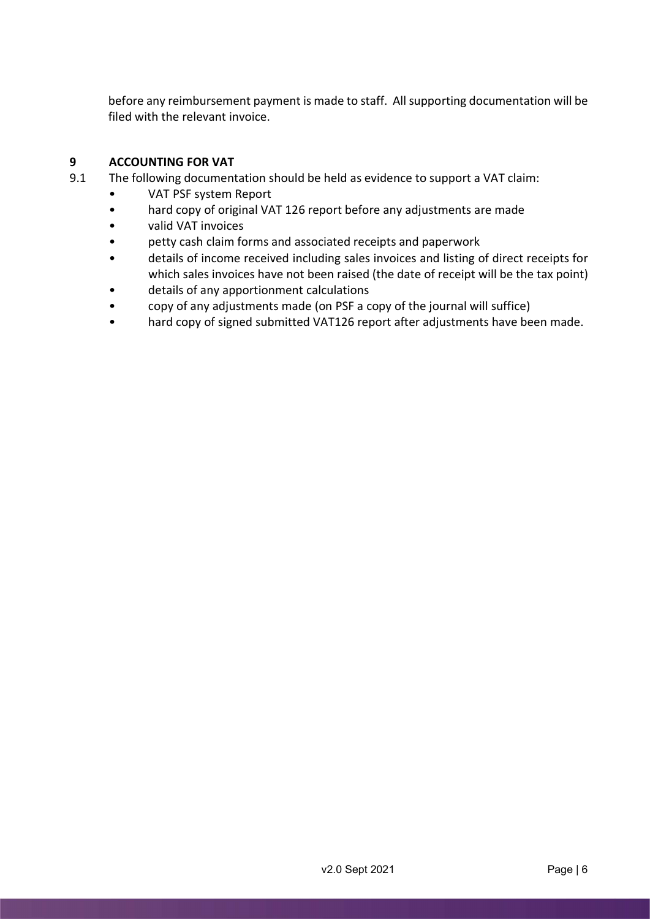before any reimbursement payment is made to staff. All supporting documentation will be filed with the relevant invoice.

# 9 ACCOUNTING FOR VAT

- 9.1 The following documentation should be held as evidence to support a VAT claim:
	- VAT PSF system Report
	- hard copy of original VAT 126 report before any adjustments are made
	- valid VAT invoices
	- petty cash claim forms and associated receipts and paperwork
	- details of income received including sales invoices and listing of direct receipts for which sales invoices have not been raised (the date of receipt will be the tax point)
	- details of any apportionment calculations
	- copy of any adjustments made (on PSF a copy of the journal will suffice)
	- hard copy of signed submitted VAT126 report after adjustments have been made.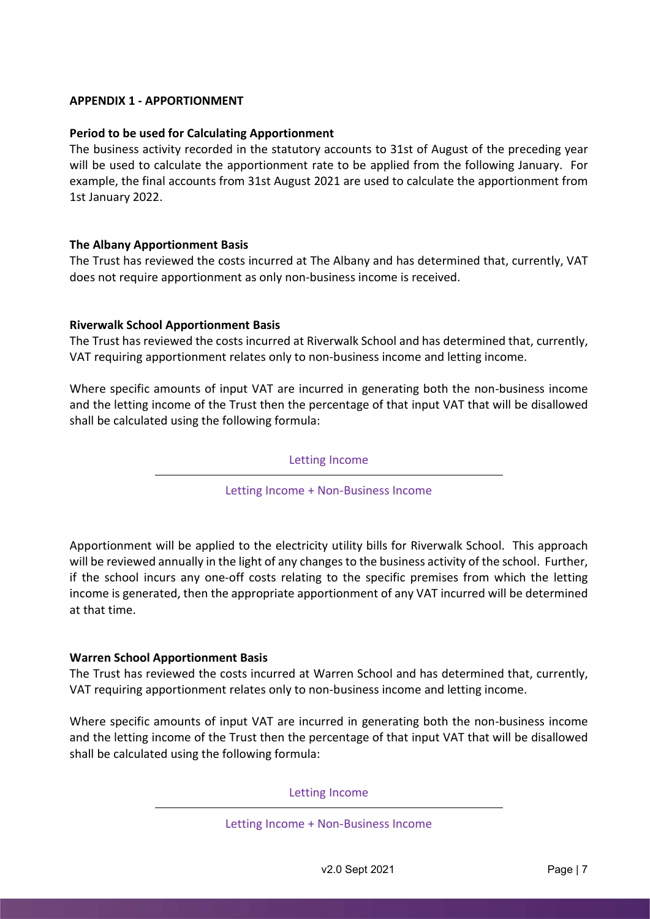# APPENDIX 1 - APPORTIONMENT

## Period to be used for Calculating Apportionment

The business activity recorded in the statutory accounts to 31st of August of the preceding year will be used to calculate the apportionment rate to be applied from the following January. For example, the final accounts from 31st August 2021 are used to calculate the apportionment from 1st January 2022.

#### The Albany Apportionment Basis

The Trust has reviewed the costs incurred at The Albany and has determined that, currently, VAT does not require apportionment as only non-business income is received.

#### Riverwalk School Apportionment Basis

The Trust has reviewed the costs incurred at Riverwalk School and has determined that, currently, VAT requiring apportionment relates only to non-business income and letting income.

Where specific amounts of input VAT are incurred in generating both the non-business income and the letting income of the Trust then the percentage of that input VAT that will be disallowed shall be calculated using the following formula:

Letting Income

Letting Income + Non-Business Income

Apportionment will be applied to the electricity utility bills for Riverwalk School. This approach will be reviewed annually in the light of any changes to the business activity of the school. Further, if the school incurs any one-off costs relating to the specific premises from which the letting income is generated, then the appropriate apportionment of any VAT incurred will be determined at that time.

#### Warren School Apportionment Basis

The Trust has reviewed the costs incurred at Warren School and has determined that, currently, VAT requiring apportionment relates only to non-business income and letting income.

Where specific amounts of input VAT are incurred in generating both the non-business income and the letting income of the Trust then the percentage of that input VAT that will be disallowed shall be calculated using the following formula:

Letting Income

Letting Income + Non-Business Income